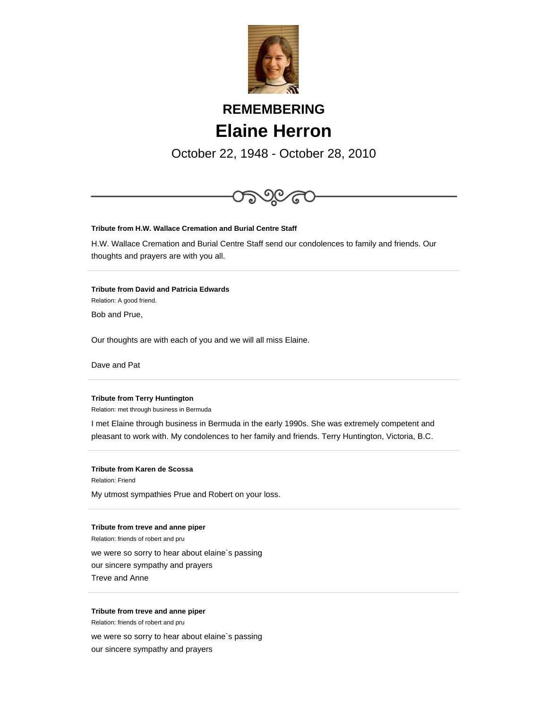

# **REMEMBERING Elaine Herron**

October 22, 1948 - October 28, 2010



**Tribute from H.W. Wallace Cremation and Burial Centre Staff**

H.W. Wallace Cremation and Burial Centre Staff send our condolences to family and friends. Our thoughts and prayers are with you all.

**Tribute from David and Patricia Edwards** Relation: A good friend.

Bob and Prue,

Our thoughts are with each of you and we will all miss Elaine.

Dave and Pat

# **Tribute from Terry Huntington**

Relation: met through business in Bermuda

I met Elaine through business in Bermuda in the early 1990s. She was extremely competent and pleasant to work with. My condolences to her family and friends. Terry Huntington, Victoria, B.C.

### **Tribute from Karen de Scossa**

Relation: Friend

My utmost sympathies Prue and Robert on your loss.

## **Tribute from treve and anne piper**

Relation: friends of robert and pru

we were so sorry to hear about elaine`s passing

our sincere sympathy and prayers

Treve and Anne

#### **Tribute from treve and anne piper**

Relation: friends of robert and pru

we were so sorry to hear about elaine`s passing

our sincere sympathy and prayers